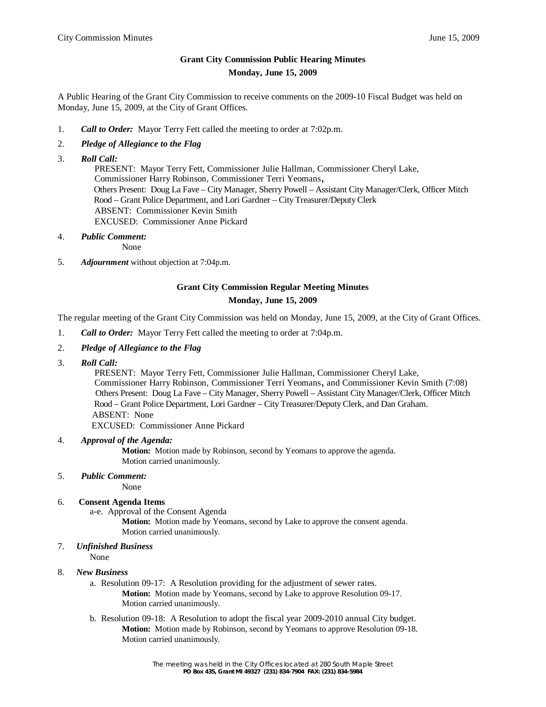# **Grant City Commission Public Hearing Minutes Monday, June 15, 2009**

A Public Hearing of the Grant City Commission to receive comments on the 2009-10 Fiscal Budget was held on Monday, June 15, 2009, at the City of Grant Offices.

1. *Call to Order:* Mayor Terry Fett called the meeting to order at 7:02p.m.

## 2. *Pledge of Allegiance to the Flag*

3. *Roll Call:*

 PRESENT: Mayor Terry Fett, Commissioner Julie Hallman, Commissioner Cheryl Lake, Commissioner Harry Robinson, Commissioner Terri Yeomans, Others Present: Doug La Fave – City Manager, Sherry Powell – Assistant City Manager/Clerk, Officer Mitch Rood – Grant Police Department, and Lori Gardner – City Treasurer/Deputy Clerk ABSENT: Commissioner Kevin Smith EXCUSED: Commissioner Anne Pickard

4. *Public Comment:*

None

5. *Adjournment* without objection at 7:04p.m.

# **Grant City Commission Regular Meeting Minutes Monday, June 15, 2009**

The regular meeting of the Grant City Commission was held on Monday, June 15, 2009, at the City of Grant Offices.

- 1. *Call to Order:* Mayor Terry Fett called the meeting to order at 7:04p.m.
- 2. *Pledge of Allegiance to the Flag*
- 3. *Roll Call:*

 PRESENT: Mayor Terry Fett, Commissioner Julie Hallman, Commissioner Cheryl Lake, Commissioner Harry Robinson, Commissioner Terri Yeomans, and Commissioner Kevin Smith (7:08) Others Present: Doug La Fave – City Manager, Sherry Powell – Assistant City Manager/Clerk, Officer Mitch Rood – Grant Police Department, Lori Gardner – City Treasurer/Deputy Clerk, and Dan Graham. ABSENT: None

EXCUSED: Commissioner Anne Pickard

### 4. *Approval of the Agenda:*

**Motion:** Motion made by Robinson, second by Yeomans to approve the agenda. Motion carried unanimously.

5. *Public Comment:*

None

#### 6. **Consent Agenda Items**

a-e. Approval of the Consent Agenda

**Motion:** Motion made by Yeomans, second by Lake to approve the consent agenda. Motion carried unanimously.

#### 7. *Unfinished Business*

None

#### 8. *New Business*

- a. Resolution 09-17: A Resolution providing for the adjustment of sewer rates. **Motion:** Motion made by Yeomans, second by Lake to approve Resolution 09-17. Motion carried unanimously.
- b. Resolution 09-18: A Resolution to adopt the fiscal year 2009-2010 annual City budget. **Motion:** Motion made by Robinson, second by Yeomans to approve Resolution 09-18. Motion carried unanimously.